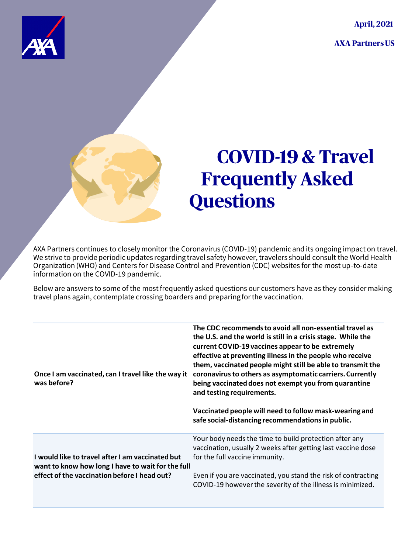**April, 2021** 

**AXA Partners US** 



## **COVID-19 & Travel Frequently Asked Questions**

AXA Partners continues to closely monitor the Coronavirus (COVID-19) pandemic and its ongoing impact on travel. We strive to provide periodic updates regarding travel safety however, travelers should consult the World Health Organization (WHO) and Centers for Disease Control and Prevention (CDC) websites for the most up-to-date information on the COVID-19 pandemic.

Below are answers to some of the most frequently asked questions our customers have as they consider making travel plans again, contemplate crossing boarders and preparing for the vaccination.

| Once I am vaccinated, can I travel like the way it<br>was before?                                     | The CDC recommends to avoid all non-essential travel as<br>the U.S. and the world is still in a crisis stage. While the<br>current COVID-19 vaccines appear to be extremely<br>effective at preventing illness in the people who receive<br>them, vaccinated people might still be able to transmit the<br>coronavirus to others as asymptomatic carriers. Currently<br>being vaccinated does not exempt you from quarantine<br>and testing requirements.<br>Vaccinated people will need to follow mask-wearing and<br>safe social-distancing recommendations in public. |
|-------------------------------------------------------------------------------------------------------|--------------------------------------------------------------------------------------------------------------------------------------------------------------------------------------------------------------------------------------------------------------------------------------------------------------------------------------------------------------------------------------------------------------------------------------------------------------------------------------------------------------------------------------------------------------------------|
| I would like to travel after I am vaccinated but<br>want to know how long I have to wait for the full | Your body needs the time to build protection after any<br>vaccination, usually 2 weeks after getting last vaccine dose<br>for the full vaccine immunity.                                                                                                                                                                                                                                                                                                                                                                                                                 |
| effect of the vaccination before I head out?                                                          | Even if you are vaccinated, you stand the risk of contracting<br>COVID-19 however the severity of the illness is minimized.                                                                                                                                                                                                                                                                                                                                                                                                                                              |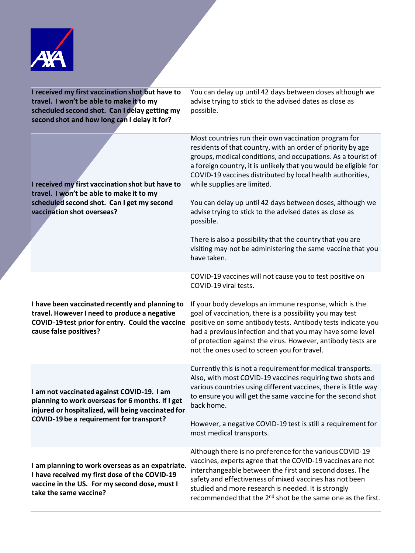

| I received my first vaccination shot but have to<br>travel. I won't be able to make it to my<br>scheduled second shot. Can I delay getting my<br>second shot and how long can I delay it for? | You can delay up until 42 days between doses although we<br>advise trying to stick to the advised dates as close as<br>possible.                                                                                                                                                                                                                                                                                  |
|-----------------------------------------------------------------------------------------------------------------------------------------------------------------------------------------------|-------------------------------------------------------------------------------------------------------------------------------------------------------------------------------------------------------------------------------------------------------------------------------------------------------------------------------------------------------------------------------------------------------------------|
| I received my first vaccination shot but have to<br>travel. I won't be able to make it to my<br>scheduled second shot. Can I get my second<br>vaccination shot overseas?                      | Most countries run their own vaccination program for<br>residents of that country, with an order of priority by age<br>groups, medical conditions, and occupations. As a tourist of<br>a foreign country, it is unlikely that you would be eligible for<br>COVID-19 vaccines distributed by local health authorities,<br>while supplies are limited.<br>You can delay up until 42 days between doses, although we |
|                                                                                                                                                                                               | advise trying to stick to the advised dates as close as<br>possible.<br>There is also a possibility that the country that you are<br>visiting may not be administering the same vaccine that you<br>have taken.                                                                                                                                                                                                   |
| I have been vaccinated recently and planning to<br>travel. However I need to produce a negative<br>COVID-19 test prior for entry. Could the vaccine<br>cause false positives?                 | COVID-19 vaccines will not cause you to test positive on<br>COVID-19 viral tests.                                                                                                                                                                                                                                                                                                                                 |
|                                                                                                                                                                                               | If your body develops an immune response, which is the<br>goal of vaccination, there is a possibility you may test<br>positive on some antibody tests. Antibody tests indicate you<br>had a previous infection and that you may have some level<br>of protection against the virus. However, antibody tests are<br>not the ones used to screen you for travel.                                                    |
| I am not vaccinated against COVID-19. I am<br>planning to work overseas for 6 months. If I get<br>injured or hospitalized, will being vaccinated for                                          | Currently this is not a requirement for medical transports.<br>Also, with most COVID-19 vaccines requiring two shots and<br>various countries using different vaccines, there is little way<br>to ensure you will get the same vaccine for the second shot<br>back home.                                                                                                                                          |
| COVID-19 be a requirement for transport?                                                                                                                                                      | However, a negative COVID-19 test is still a requirement for<br>most medical transports.                                                                                                                                                                                                                                                                                                                          |
| I am planning to work overseas as an expatriate.<br>I have received my first dose of the COVID-19<br>vaccine in the US. For my second dose, must I<br>take the same vaccine?                  | Although there is no preference for the various COVID-19<br>vaccines, experts agree that the COVID-19 vaccines are not<br>interchangeable between the first and second doses. The<br>safety and effectiveness of mixed vaccines has not been<br>studied and more research is needed. It is strongly<br>recommended that the 2 <sup>nd</sup> shot be the same one as the first.                                    |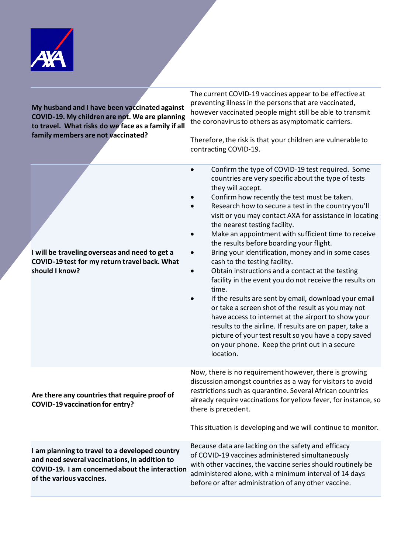

**My husband and I have been vaccinated against COVID-19. My children are not. We are planning to travel. What risks do we face as a family if all family members are not vaccinated?**

The current COVID-19 vaccines appear to be effective at preventing illness in the persons that are vaccinated, however vaccinated people might still be able to transmit the coronavirus to others as asymptomatic carriers.

Therefore, the risk is that your children are vulnerable to contracting COVID-19.

| I will be traveling overseas and need to get a<br>COVID-19 test for my return travel back. What<br>should I know?                                                             | Confirm the type of COVID-19 test required. Some<br>countries are very specific about the type of tests<br>they will accept.<br>Confirm how recently the test must be taken.<br>Research how to secure a test in the country you'll<br>visit or you may contact AXA for assistance in locating<br>the nearest testing facility.<br>Make an appointment with sufficient time to receive<br>the results before boarding your flight.<br>Bring your identification, money and in some cases<br>cash to the testing facility.<br>Obtain instructions and a contact at the testing<br>facility in the event you do not receive the results on<br>time.<br>If the results are sent by email, download your email<br>or take a screen shot of the result as you may not<br>have access to internet at the airport to show your<br>results to the airline. If results are on paper, take a<br>picture of your test result so you have a copy saved<br>on your phone. Keep the print out in a secure<br>location. |
|-------------------------------------------------------------------------------------------------------------------------------------------------------------------------------|----------------------------------------------------------------------------------------------------------------------------------------------------------------------------------------------------------------------------------------------------------------------------------------------------------------------------------------------------------------------------------------------------------------------------------------------------------------------------------------------------------------------------------------------------------------------------------------------------------------------------------------------------------------------------------------------------------------------------------------------------------------------------------------------------------------------------------------------------------------------------------------------------------------------------------------------------------------------------------------------------------|
| Are there any countries that require proof of<br><b>COVID-19 vaccination for entry?</b>                                                                                       | Now, there is no requirement however, there is growing<br>discussion amongst countries as a way for visitors to avoid<br>restrictions such as quarantine. Several African countries<br>already require vaccinations for yellow fever, for instance, so<br>there is precedent.<br>This situation is developing and we will continue to monitor.                                                                                                                                                                                                                                                                                                                                                                                                                                                                                                                                                                                                                                                           |
| I am planning to travel to a developed country<br>and need several vaccinations, in addition to<br>COVID-19. I am concerned about the interaction<br>of the various vaccines. | Because data are lacking on the safety and efficacy<br>of COVID-19 vaccines administered simultaneously<br>with other vaccines, the vaccine series should routinely be<br>administered alone, with a minimum interval of 14 days<br>before or after administration of any other vaccine.                                                                                                                                                                                                                                                                                                                                                                                                                                                                                                                                                                                                                                                                                                                 |